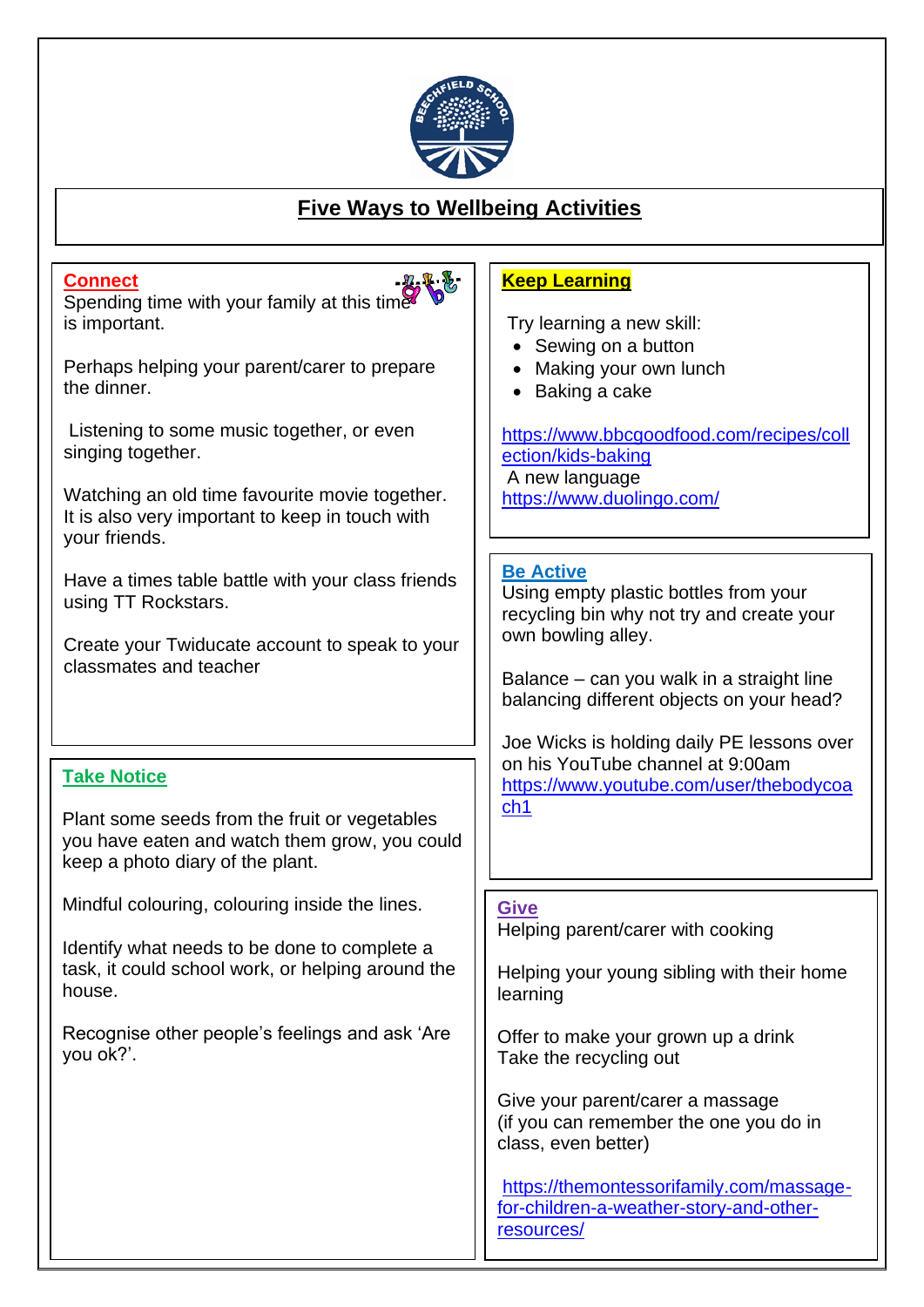

## j **Five Ways to Wellbeing Activities**

| <b>Connect</b><br>Spending time with your family at this time<br>is important.<br>Perhaps helping your parent/carer to prepare<br>the dinner.<br>Listening to some music together, or even<br>singing together.<br>Watching an old time favourite movie together.<br>It is also very important to keep in touch with<br>your friends. | <b>Keep Learning</b><br>Try learning a new skill:<br>Sewing on a button<br>Making your own lunch<br>Baking a cake<br>https://www.bbcgoodfood.com/recipes/coll<br>ection/kids-baking<br>A new language<br>https://www.duolingo.com/                                                                                                                                                    |
|---------------------------------------------------------------------------------------------------------------------------------------------------------------------------------------------------------------------------------------------------------------------------------------------------------------------------------------|---------------------------------------------------------------------------------------------------------------------------------------------------------------------------------------------------------------------------------------------------------------------------------------------------------------------------------------------------------------------------------------|
| Have a times table battle with your class friends<br>using TT Rockstars.<br>Create your Twiducate account to speak to your<br>classmates and teacher<br><b>Take Notice</b><br>Plant some seeds from the fruit or vegetables<br>you have eaten and watch them grow, you could<br>keep a photo diary of the plant.                      | <b>Be Active</b><br>Using empty plastic bottles from your<br>recycling bin why not try and create your<br>own bowling alley.<br>Balance – can you walk in a straight line<br>balancing different objects on your head?<br>Joe Wicks is holding daily PE lessons over<br>on his YouTube channel at 9:00am<br>https://www.youtube.com/user/thebodycoa<br>ch <sub>1</sub>                |
| Mindful colouring, colouring inside the lines.<br>Identify what needs to be done to complete a<br>task, it could school work, or helping around the<br>house.<br>Recognise other people's feelings and ask 'Are<br>you ok?'.                                                                                                          | <b>Give</b><br>Helping parent/carer with cooking<br>Helping your young sibling with their home<br>learning<br>Offer to make your grown up a drink<br>Take the recycling out<br>Give your parent/carer a massage<br>(if you can remember the one you do in<br>class, even better)<br>https://themontessorifamily.com/massage-<br>for-children-a-weather-story-and-other-<br>resources/ |